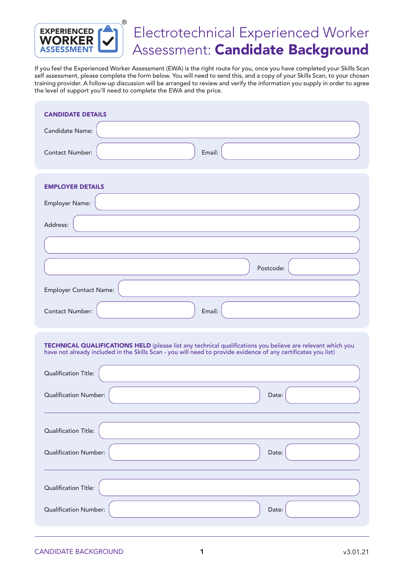

## Electrotechnical Experienced Worker Assessment: Candidate Background

If you feel the Experienced Worker Assessment (EWA) is the right route for you, once you have completed your Skills Scan self assessment, please complete the form below. You will need to send this, and a copy of your Skills Scan, to your chosen training provider. A follow-up discussion will be arranged to review and verify the information you supply in order to agree the level of support you'll need to complete the EWA and the price.

| <b>CANDIDATE DETAILS</b>                                                                                                                                                                                                     |  |  |  |
|------------------------------------------------------------------------------------------------------------------------------------------------------------------------------------------------------------------------------|--|--|--|
| Candidate Name:                                                                                                                                                                                                              |  |  |  |
| Email:<br><b>Contact Number:</b>                                                                                                                                                                                             |  |  |  |
| <b>EMPLOYER DETAILS</b>                                                                                                                                                                                                      |  |  |  |
| Employer Name:                                                                                                                                                                                                               |  |  |  |
| Address:                                                                                                                                                                                                                     |  |  |  |
|                                                                                                                                                                                                                              |  |  |  |
| Postcode:                                                                                                                                                                                                                    |  |  |  |
| <b>Employer Contact Name:</b>                                                                                                                                                                                                |  |  |  |
| <b>Contact Number:</b><br>Email:                                                                                                                                                                                             |  |  |  |
| TECHNICAL QUALIFICATIONS HELD (please list any technical qualifications you believe are relevant which you<br>have not already included in the Skills Scan - you will need to provide evidence of any certificates you list) |  |  |  |
| <b>Qualification Title:</b>                                                                                                                                                                                                  |  |  |  |
| <b>Qualification Number:</b><br>Date:                                                                                                                                                                                        |  |  |  |
| Qualification Title:                                                                                                                                                                                                         |  |  |  |
| Qualification Number:<br>Date:                                                                                                                                                                                               |  |  |  |
| <b>Qualification Title:</b>                                                                                                                                                                                                  |  |  |  |
| <b>Qualification Number:</b><br>Date:                                                                                                                                                                                        |  |  |  |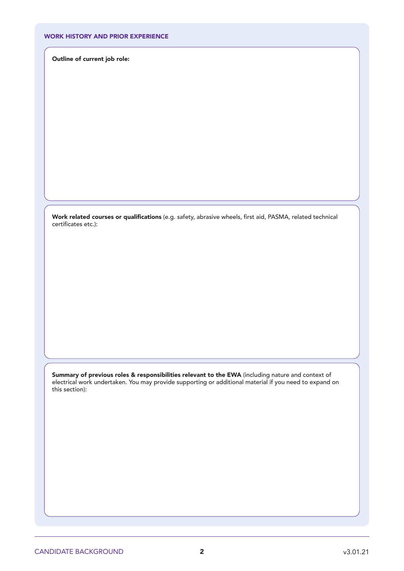## WORK HISTORY AND PRIOR EXPERIENCE

Outline of current job role:

**Work related courses or qualifications** (e.g. safety, abrasive wheels, first aid, PASMA, related technical certificates etc.):

Summary of previous roles & responsibilities relevant to the EWA (including nature and context of electrical work undertaken. You may provide supporting or additional material if you need to expand on this section):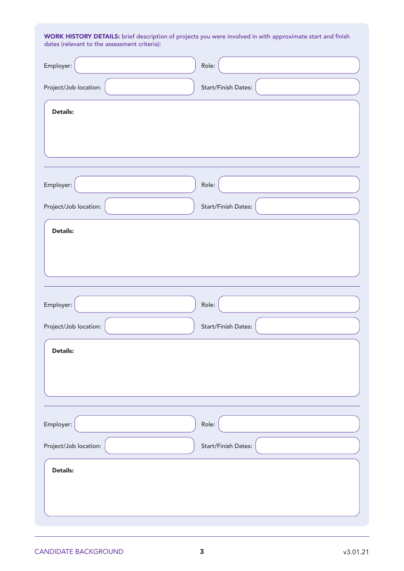WORK HISTORY DETAILS: brief description of projects you were involved in with approximate start and finish dates (relevant to the assessment criteria):

| Employer:             | Role:               |
|-----------------------|---------------------|
| Project/Job location: | Start/Finish Dates: |
| <b>Details:</b>       |                     |
|                       |                     |
| Employer:             | Role:               |
| Project/Job location: | Start/Finish Dates: |
| Details:              |                     |
|                       |                     |
| Employer:             | Role:               |
| Project/Job location: | Start/Finish Dates: |
| <b>Details:</b>       |                     |
| Employer:             | Role:               |
| Project/Job location: | Start/Finish Dates: |
| <b>Details:</b>       |                     |